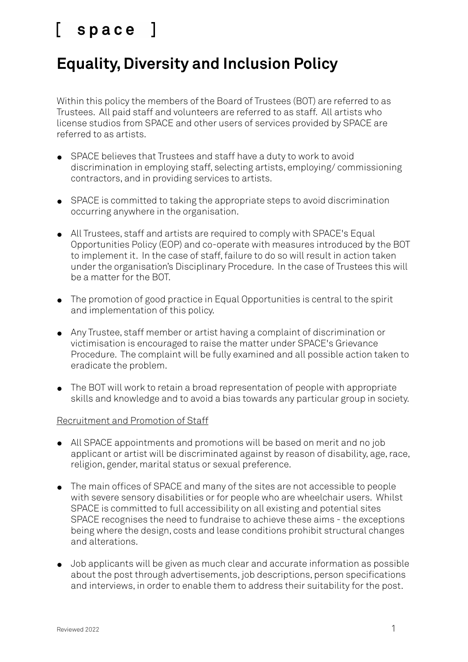### **Equality, Diversity and Inclusion Policy**

Within this policy the members of the Board of Trustees (BOT) are referred to as Trustees. All paid staff and volunteers are referred to as staff. All artists who license studios from SPACE and other users of services provided by SPACE are referred to as artists.

- SPACE believes that Trustees and staff have a duty to work to avoid discrimination in employing staff, selecting artists, employing/ commissioning contractors, and in providing services to artists.
- SPACE is committed to taking the appropriate steps to avoid discrimination occurring anywhere in the organisation.
- All Trustees, staff and artists are required to comply with SPACE's Equal Opportunities Policy (EOP) and co-operate with measures introduced by the BOT to implement it. In the case of staff, failure to do so will result in action taken under the organisation's Disciplinary Procedure. In the case of Trustees this will be a matter for the BOT.
- The promotion of good practice in Equal Opportunities is central to the spirit and implementation of this policy.
- Any Trustee, staff member or artist having a complaint of discrimination or victimisation is encouraged to raise the matter under SPACE's Grievance Procedure. The complaint will be fully examined and all possible action taken to eradicate the problem.
- The BOT will work to retain a broad representation of people with appropriate skills and knowledge and to avoid a bias towards any particular group in society.

### Recruitment and Promotion of Staff

- All SPACE appointments and promotions will be based on merit and no job applicant or artist will be discriminated against by reason of disability, age, race, religion, gender, marital status or sexual preference.
- The main offices of SPACE and many of the sites are not accessible to people with severe sensory disabilities or for people who are wheelchair users. Whilst SPACE is committed to full accessibility on all existing and potential sites SPACE recognises the need to fundraise to achieve these aims - the exceptions being where the design, costs and lease conditions prohibit structural changes and alterations.
- Job applicants will be given as much clear and accurate information as possible about the post through advertisements, job descriptions, person specifications and interviews, in order to enable them to address their suitability for the post.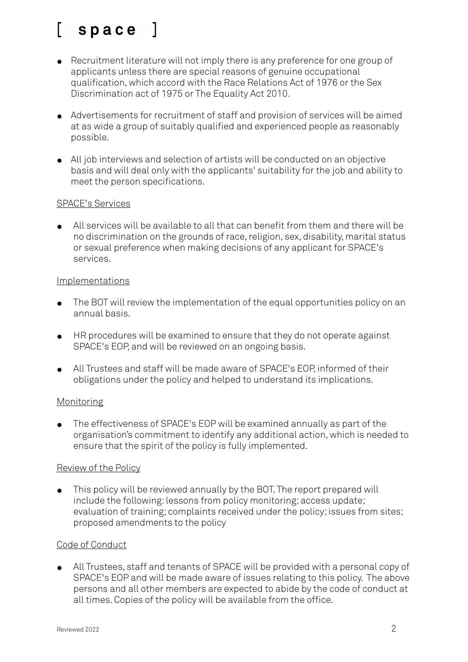## space ]

- Recruitment literature will not imply there is any preference for one group of applicants unless there are special reasons of genuine occupational qualification, which accord with the Race Relations Act of 1976 or the Sex Discrimination act of 1975 or The Equality Act 2010.
- Advertisements for recruitment of staff and provision of services will be aimed at as wide a group of suitably qualified and experienced people as reasonably possible.
- All job interviews and selection of artists will be conducted on an objective basis and will deal only with the applicants' suitability for the job and ability to meet the person specifications.

### SPACE's Services

● All services will be available to all that can benefit from them and there will be no discrimination on the grounds of race, religion, sex, disability, marital status or sexual preference when making decisions of any applicant for SPACE's services.

### Implementations

- The BOT will review the implementation of the equal opportunities policy on an annual basis.
- HR procedures will be examined to ensure that they do not operate against SPACE's EOP, and will be reviewed on an ongoing basis.
- All Trustees and staff will be made aware of SPACE's EOP, informed of their obligations under the policy and helped to understand its implications.

### Monitoring

The effectiveness of SPACE's EOP will be examined annually as part of the organisation's commitment to identify any additional action, which is needed to ensure that the spirit of the policy is fully implemented.

### Review of the Policy

● This policy will be reviewed annually by the BOT. The report prepared will include the following: lessons from policy monitoring; access update; evaluation of training; complaints received under the policy; issues from sites; proposed amendments to the policy

### Code of Conduct

● All Trustees, staff and tenants of SPACE will be provided with a personal copy of SPACE's EOP and will be made aware of issues relating to this policy. The above persons and all other members are expected to abide by the code of conduct at all times. Copies of the policy will be available from the office.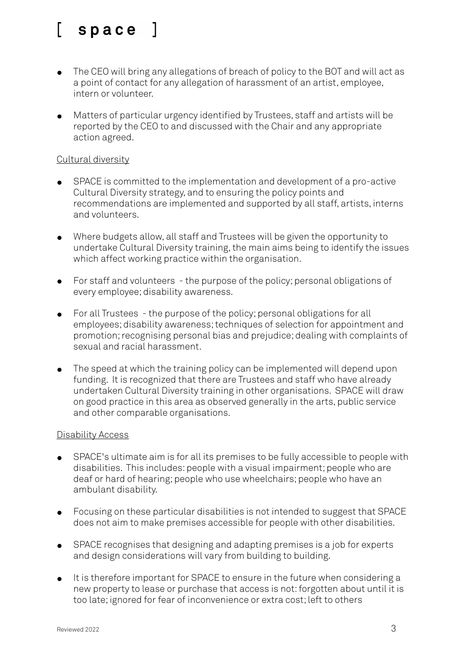- The CEO will bring any allegations of breach of policy to the BOT and will act as a point of contact for any allegation of harassment of an artist, employee, intern or volunteer.
- Matters of particular urgency identified by Trustees, staff and artists will be reported by the CEO to and discussed with the Chair and any appropriate action agreed.

### Cultural diversity

- SPACE is committed to the implementation and development of a pro-active Cultural Diversity strategy, and to ensuring the policy points and recommendations are implemented and supported by all staff, artists, interns and volunteers.
- Where budgets allow, all staff and Trustees will be given the opportunity to undertake Cultural Diversity training, the main aims being to identify the issues which affect working practice within the organisation.
- For staff and volunteers the purpose of the policy; personal obligations of every employee; disability awareness.
- For all Trustees the purpose of the policy; personal obligations for all employees; disability awareness; techniques of selection for appointment and promotion; recognising personal bias and prejudice; dealing with complaints of sexual and racial harassment.
- The speed at which the training policy can be implemented will depend upon funding. It is recognized that there are Trustees and staff who have already undertaken Cultural Diversity training in other organisations. SPACE will draw on good practice in this area as observed generally in the arts, public service and other comparable organisations.

### Disability Access

- SPACE's ultimate aim is for all its premises to be fully accessible to people with disabilities. This includes: people with a visual impairment; people who are deaf or hard of hearing; people who use wheelchairs; people who have an ambulant disability.
- Focusing on these particular disabilities is not intended to suggest that SPACE does not aim to make premises accessible for people with other disabilities.
- SPACE recognises that designing and adapting premises is a job for experts and design considerations will vary from building to building.
- It is therefore important for SPACE to ensure in the future when considering a new property to lease or purchase that access is not: forgotten about until it is too late; ignored for fear of inconvenience or extra cost; left to others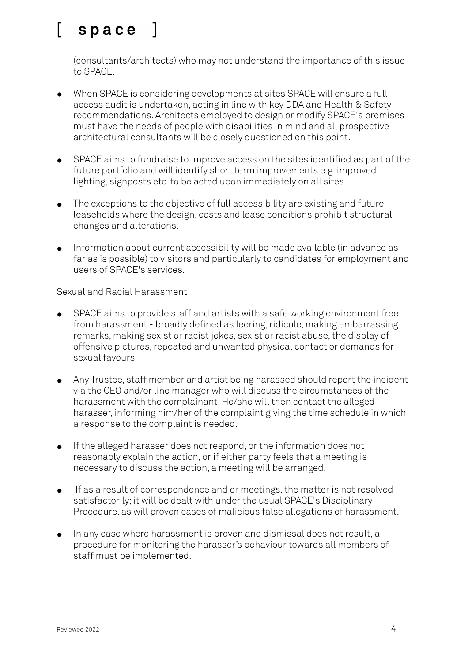(consultants/architects) who may not understand the importance of this issue to SPACE.

- When SPACE is considering developments at sites SPACE will ensure a full access audit is undertaken, acting in line with key DDA and Health & Safety recommendations. Architects employed to design or modify SPACE's premises must have the needs of people with disabilities in mind and all prospective architectural consultants will be closely questioned on this point.
- SPACE aims to fundraise to improve access on the sites identified as part of the future portfolio and will identify short term improvements e.g. improved lighting, signposts etc. to be acted upon immediately on all sites.
- The exceptions to the objective of full accessibility are existing and future leaseholds where the design, costs and lease conditions prohibit structural changes and alterations.
- Information about current accessibility will be made available (in advance as far as is possible) to visitors and particularly to candidates for employment and users of SPACE's services.

### Sexual and Racial Harassment

- SPACE aims to provide staff and artists with a safe working environment free from harassment - broadly defined as leering, ridicule, making embarrassing remarks, making sexist or racist jokes, sexist or racist abuse, the display of offensive pictures, repeated and unwanted physical contact or demands for sexual favours.
- Any Trustee, staff member and artist being harassed should report the incident via the CEO and/or line manager who will discuss the circumstances of the harassment with the complainant. He/she will then contact the alleged harasser, informing him/her of the complaint giving the time schedule in which a response to the complaint is needed.
- If the alleged harasser does not respond, or the information does not reasonably explain the action, or if either party feels that a meeting is necessary to discuss the action, a meeting will be arranged.
- If as a result of correspondence and or meetings, the matter is not resolved satisfactorily; it will be dealt with under the usual SPACE's Disciplinary Procedure, as will proven cases of malicious false allegations of harassment.
- In any case where harassment is proven and dismissal does not result, a procedure for monitoring the harasser's behaviour towards all members of staff must be implemented.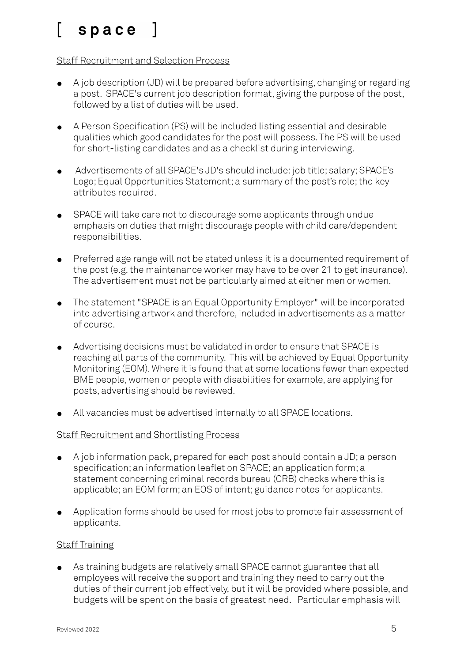### Staff Recruitment and Selection Process

- A job description (JD) will be prepared before advertising, changing or regarding a post. SPACE's current job description format, giving the purpose of the post, followed by a list of duties will be used.
- A Person Specification (PS) will be included listing essential and desirable qualities which good candidates for the post will possess. The PS will be used for short-listing candidates and as a checklist during interviewing.
- Advertisements of all SPACE's JD's should include: job title; salary; SPACE's Logo; Equal Opportunities Statement; a summary of the post's role; the key attributes required.
- SPACE will take care not to discourage some applicants through undue emphasis on duties that might discourage people with child care/dependent responsibilities.
- Preferred age range will not be stated unless it is a documented requirement of the post (e.g. the maintenance worker may have to be over 21 to get insurance). The advertisement must not be particularly aimed at either men or women.
- The statement "SPACE is an Equal Opportunity Employer" will be incorporated into advertising artwork and therefore, included in advertisements as a matter of course.
- Advertising decisions must be validated in order to ensure that SPACE is reaching all parts of the community. This will be achieved by Equal Opportunity Monitoring (EOM). Where it is found that at some locations fewer than expected BME people, women or people with disabilities for example, are applying for posts, advertising should be reviewed.
- All vacancies must be advertised internally to all SPACE locations.

### Staff Recruitment and Shortlisting Process

- A job information pack, prepared for each post should contain a JD; a person specification; an information leaflet on SPACE; an application form; a statement concerning criminal records bureau (CRB) checks where this is applicable; an EOM form; an EOS of intent; guidance notes for applicants.
- Application forms should be used for most jobs to promote fair assessment of applicants.

### **Staff Training**

As training budgets are relatively small SPACE cannot guarantee that all employees will receive the support and training they need to carry out the duties of their current job effectively, but it will be provided where possible, and budgets will be spent on the basis of greatest need. Particular emphasis will